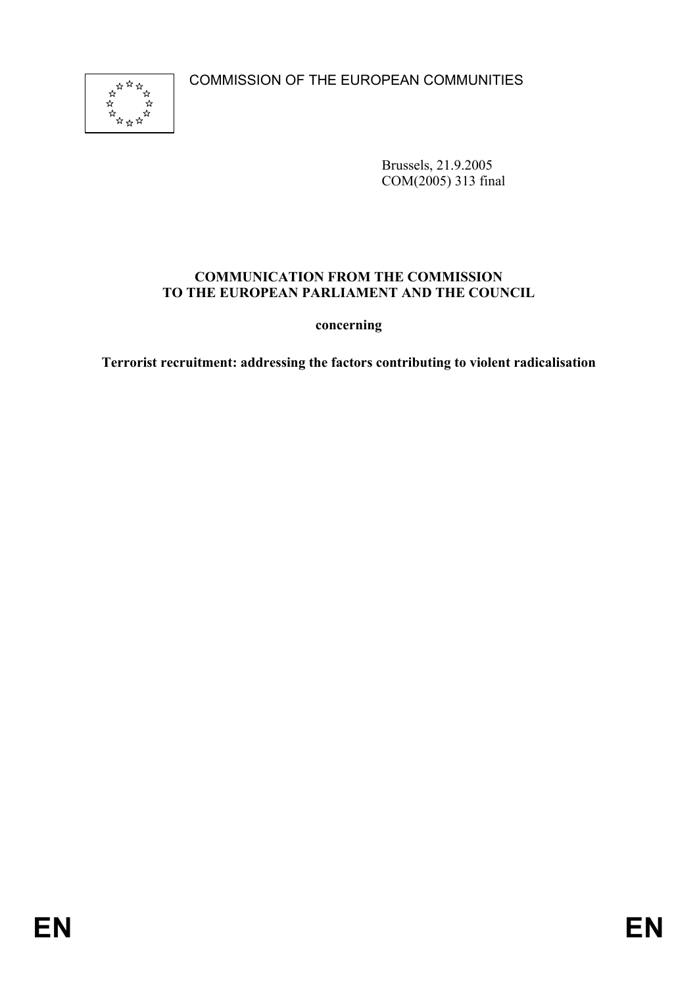COMMISSION OF THE EUROPEAN COMMUNITIES



Brussels, 21.9.2005 COM(2005) 313 final

#### **COMMUNICATION FROM THE COMMISSION TO THE EUROPEAN PARLIAMENT AND THE COUNCIL**

**concerning** 

**Terrorist recruitment: addressing the factors contributing to violent radicalisation**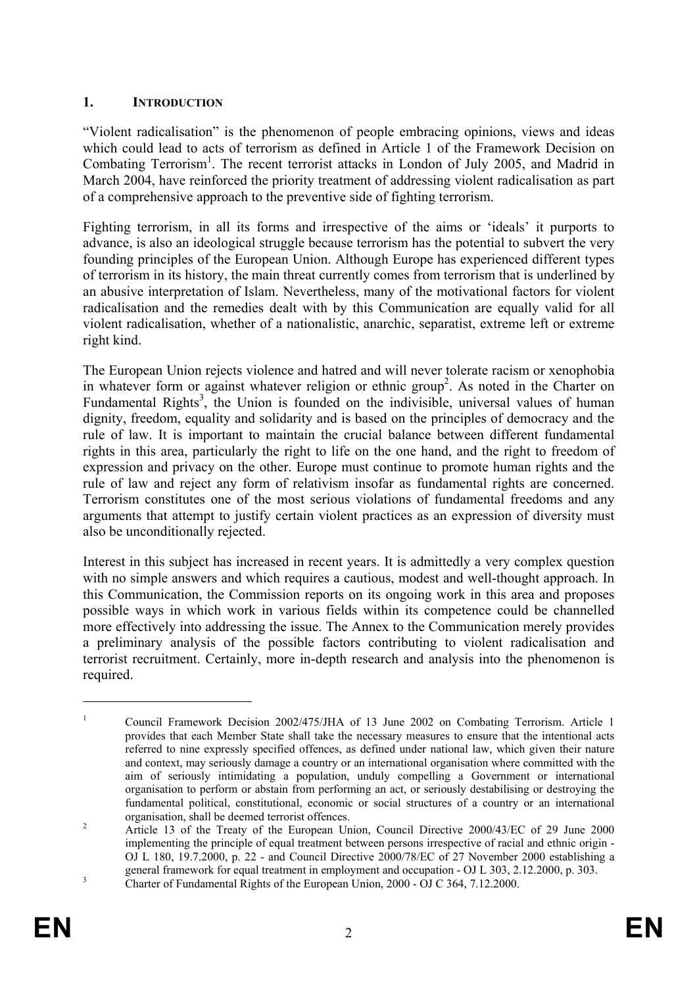# **1. INTRODUCTION**

"Violent radicalisation" is the phenomenon of people embracing opinions, views and ideas which could lead to acts of terrorism as defined in Article 1 of the Framework Decision on Combating Terrorism<sup>1</sup>. The recent terrorist attacks in London of July 2005, and Madrid in March 2004, have reinforced the priority treatment of addressing violent radicalisation as part of a comprehensive approach to the preventive side of fighting terrorism.

Fighting terrorism, in all its forms and irrespective of the aims or 'ideals' it purports to advance, is also an ideological struggle because terrorism has the potential to subvert the very founding principles of the European Union. Although Europe has experienced different types of terrorism in its history, the main threat currently comes from terrorism that is underlined by an abusive interpretation of Islam. Nevertheless, many of the motivational factors for violent radicalisation and the remedies dealt with by this Communication are equally valid for all violent radicalisation, whether of a nationalistic, anarchic, separatist, extreme left or extreme right kind.

The European Union rejects violence and hatred and will never tolerate racism or xenophobia in whatever form or against whatever religion or ethnic group<sup>2</sup>. As noted in the Charter on Fundamental Rights<sup>3</sup>, the Union is founded on the indivisible, universal values of human dignity, freedom, equality and solidarity and is based on the principles of democracy and the rule of law. It is important to maintain the crucial balance between different fundamental rights in this area, particularly the right to life on the one hand, and the right to freedom of expression and privacy on the other. Europe must continue to promote human rights and the rule of law and reject any form of relativism insofar as fundamental rights are concerned. Terrorism constitutes one of the most serious violations of fundamental freedoms and any arguments that attempt to justify certain violent practices as an expression of diversity must also be unconditionally rejected.

Interest in this subject has increased in recent years. It is admittedly a very complex question with no simple answers and which requires a cautious, modest and well-thought approach. In this Communication, the Commission reports on its ongoing work in this area and proposes possible ways in which work in various fields within its competence could be channelled more effectively into addressing the issue. The Annex to the Communication merely provides a preliminary analysis of the possible factors contributing to violent radicalisation and terrorist recruitment. Certainly, more in-depth research and analysis into the phenomenon is required.

<sup>&</sup>lt;sup>1</sup> Council Framework Decision 2002/475/JHA of 13 June 2002 on Combating Terrorism. Article 1 provides that each Member State shall take the necessary measures to ensure that the intentional acts referred to nine expressly specified offences, as defined under national law, which given their nature and context, may seriously damage a country or an international organisation where committed with the aim of seriously intimidating a population, unduly compelling a Government or international organisation to perform or abstain from performing an act, or seriously destabilising or destroying the fundamental political, constitutional, economic or social structures of a country or an international organisation, shall be deemed terrorist offences.

<sup>&</sup>lt;sup>2</sup> Article 13 of the Treaty of the European Union, Council Directive 2000/43/EC of 29 June 2000 implementing the principle of equal treatment between persons irrespective of racial and ethnic origin - OJ L 180, 19.7.2000, p. 22 - and Council Directive 2000/78/EC of 27 November 2000 establishing a general framework for equal treatment in employment and occupation - OJ L 303, 2.12.2000, p. 303.<br>Charter of Fundamental Rights of the European Union, 2000 - OJ C 364, 7.12.2000.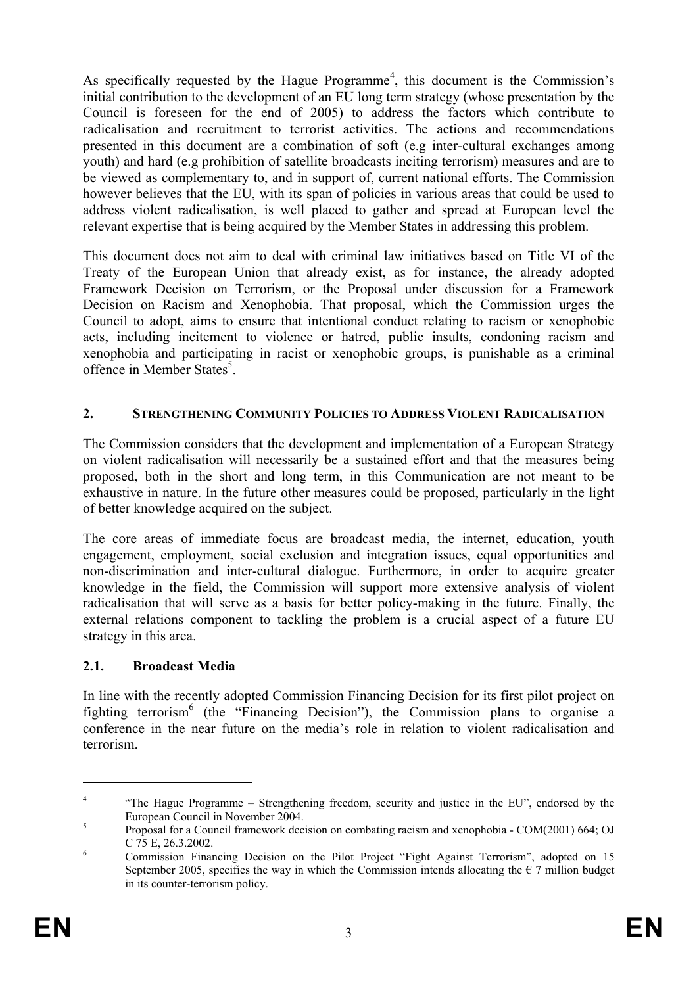As specifically requested by the Hague Programme<sup>4</sup>, this document is the Commission's initial contribution to the development of an EU long term strategy (whose presentation by the Council is foreseen for the end of 2005) to address the factors which contribute to radicalisation and recruitment to terrorist activities. The actions and recommendations presented in this document are a combination of soft (e.g inter-cultural exchanges among youth) and hard (e.g prohibition of satellite broadcasts inciting terrorism) measures and are to be viewed as complementary to, and in support of, current national efforts. The Commission however believes that the EU, with its span of policies in various areas that could be used to address violent radicalisation, is well placed to gather and spread at European level the relevant expertise that is being acquired by the Member States in addressing this problem.

This document does not aim to deal with criminal law initiatives based on Title VI of the Treaty of the European Union that already exist, as for instance, the already adopted Framework Decision on Terrorism, or the Proposal under discussion for a Framework Decision on Racism and Xenophobia. That proposal, which the Commission urges the Council to adopt, aims to ensure that intentional conduct relating to racism or xenophobic acts, including incitement to violence or hatred, public insults, condoning racism and xenophobia and participating in racist or xenophobic groups, is punishable as a criminal offence in Member States<sup>5</sup>.

#### **2. STRENGTHENING COMMUNITY POLICIES TO ADDRESS VIOLENT RADICALISATION**

The Commission considers that the development and implementation of a European Strategy on violent radicalisation will necessarily be a sustained effort and that the measures being proposed, both in the short and long term, in this Communication are not meant to be exhaustive in nature. In the future other measures could be proposed, particularly in the light of better knowledge acquired on the subject.

The core areas of immediate focus are broadcast media, the internet, education, youth engagement, employment, social exclusion and integration issues, equal opportunities and non-discrimination and inter-cultural dialogue. Furthermore, in order to acquire greater knowledge in the field, the Commission will support more extensive analysis of violent radicalisation that will serve as a basis for better policy-making in the future. Finally, the external relations component to tackling the problem is a crucial aspect of a future EU strategy in this area.

#### **2.1. Broadcast Media**

In line with the recently adopted Commission Financing Decision for its first pilot project on fighting terrorism<sup>6</sup> (the "Financing Decision"), the Commission plans to organise a conference in the near future on the media's role in relation to violent radicalisation and terrorism.

<sup>&</sup>lt;sup>4</sup> "The Hague Programme – Strengthening freedom, security and justice in the EU", endorsed by the European Council in November 2004.

<sup>&</sup>lt;sup>5</sup> Proposal for a Council framework decision on combating racism and xenophobia - COM(2001) 664; OJ C 75 E, 26.3.2002. 6 Commission Financing Decision on the Pilot Project "Fight Against Terrorism", adopted on 15

September 2005, specifies the way in which the Commission intends allocating the  $\epsilon$  7 million budget in its counter-terrorism policy.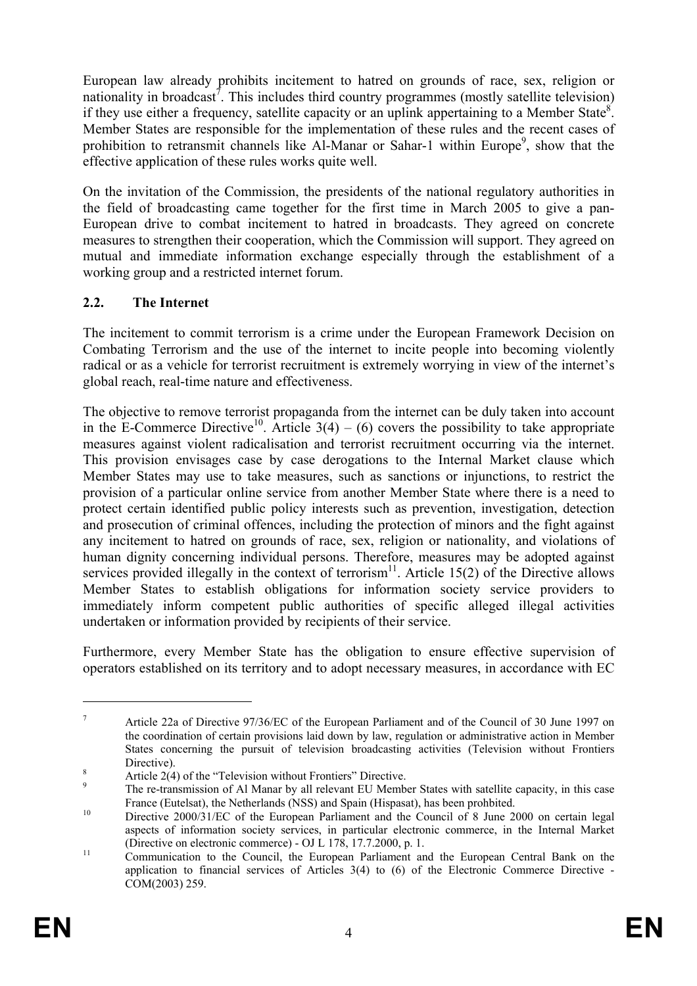European law already prohibits incitement to hatred on grounds of race, sex, religion or nationality in broadcast<sup>7</sup>. This includes third country programmes (mostly satellite television) if they use either a frequency, satellite capacity or an uplink appertaining to a Member State<sup>8</sup>. Member States are responsible for the implementation of these rules and the recent cases of prohibition to retransmit channels like Al-Manar or Sahar-1 within Europe<sup>9</sup>, show that the effective application of these rules works quite well.

On the invitation of the Commission, the presidents of the national regulatory authorities in the field of broadcasting came together for the first time in March 2005 to give a pan-European drive to combat incitement to hatred in broadcasts. They agreed on concrete measures to strengthen their cooperation, which the Commission will support. They agreed on mutual and immediate information exchange especially through the establishment of a working group and a restricted internet forum.

# **2.2. The Internet**

The incitement to commit terrorism is a crime under the European Framework Decision on Combating Terrorism and the use of the internet to incite people into becoming violently radical or as a vehicle for terrorist recruitment is extremely worrying in view of the internet's global reach, real-time nature and effectiveness.

The objective to remove terrorist propaganda from the internet can be duly taken into account in the E-Commerce Directive<sup>10</sup>. Article  $3(4) - (6)$  covers the possibility to take appropriate measures against violent radicalisation and terrorist recruitment occurring via the internet. This provision envisages case by case derogations to the Internal Market clause which Member States may use to take measures, such as sanctions or injunctions, to restrict the provision of a particular online service from another Member State where there is a need to protect certain identified public policy interests such as prevention, investigation, detection and prosecution of criminal offences, including the protection of minors and the fight against any incitement to hatred on grounds of race, sex, religion or nationality, and violations of human dignity concerning individual persons. Therefore, measures may be adopted against services provided illegally in the context of terrorism<sup>11</sup>. Article 15(2) of the Directive allows Member States to establish obligations for information society service providers to immediately inform competent public authorities of specific alleged illegal activities undertaken or information provided by recipients of their service.

Furthermore, every Member State has the obligation to ensure effective supervision of operators established on its territory and to adopt necessary measures, in accordance with EC

<sup>7</sup> Article 22a of Directive 97/36/EC of the European Parliament and of the Council of 30 June 1997 on the coordination of certain provisions laid down by law, regulation or administrative action in Member States concerning the pursuit of television broadcasting activities (Television without Frontiers

Price 2(4) of the "Television without Frontiers" Directive.<br>
<sup>8</sup> The re-transmission of Al Manar by all relevant EU Member States with satellite capacity, in this case<br>
France (Eutelsat), the Netherlands (NSS) and Spain (H

France (Eutelsat), the Netherlands (NSS) and Spain (Hispasat), has been prohbited. 10 Directive 2000/31/EC of the European Parliament and the Council of 8 June 2000 on certain legal aspects of information society services, in particular electronic commerce, in the Internal Market (Directive on electronic commerce) - OJ L 178, 17.7.2000, p. 1.<br><sup>11</sup> Communication to the Council, the European Parliament and the European Central Bank on the

application to financial services of Articles 3(4) to (6) of the Electronic Commerce Directive - COM(2003) 259.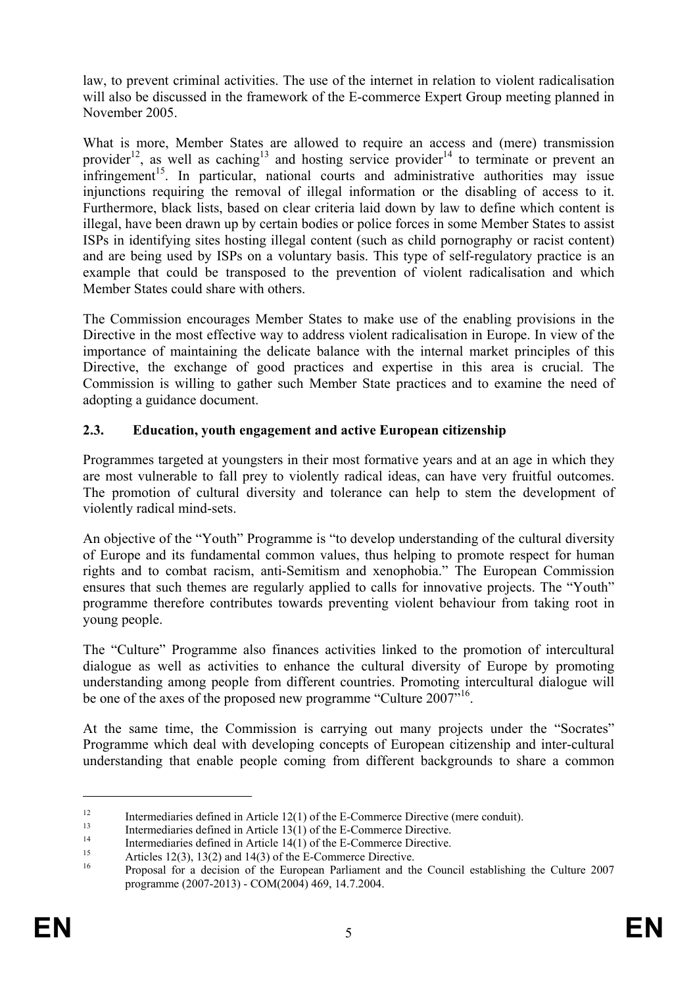law, to prevent criminal activities. The use of the internet in relation to violent radicalisation will also be discussed in the framework of the E-commerce Expert Group meeting planned in November 2005.

What is more, Member States are allowed to require an access and (mere) transmission provider<sup>12</sup>, as well as caching<sup>13</sup> and hosting service provider<sup>14</sup> to terminate or prevent an  $\frac{1}{2}$  infringement<sup>15</sup>. In particular, national courts and administrative authorities may issue injunctions requiring the removal of illegal information or the disabling of access to it. Furthermore, black lists, based on clear criteria laid down by law to define which content is illegal, have been drawn up by certain bodies or police forces in some Member States to assist ISPs in identifying sites hosting illegal content (such as child pornography or racist content) and are being used by ISPs on a voluntary basis. This type of self-regulatory practice is an example that could be transposed to the prevention of violent radicalisation and which Member States could share with others.

The Commission encourages Member States to make use of the enabling provisions in the Directive in the most effective way to address violent radicalisation in Europe. In view of the importance of maintaining the delicate balance with the internal market principles of this Directive, the exchange of good practices and expertise in this area is crucial. The Commission is willing to gather such Member State practices and to examine the need of adopting a guidance document.

# **2.3. Education, youth engagement and active European citizenship**

Programmes targeted at youngsters in their most formative years and at an age in which they are most vulnerable to fall prey to violently radical ideas, can have very fruitful outcomes. The promotion of cultural diversity and tolerance can help to stem the development of violently radical mind-sets.

An objective of the "Youth" Programme is "to develop understanding of the cultural diversity of Europe and its fundamental common values, thus helping to promote respect for human rights and to combat racism, anti-Semitism and xenophobia." The European Commission ensures that such themes are regularly applied to calls for innovative projects. The "Youth" programme therefore contributes towards preventing violent behaviour from taking root in young people.

The "Culture" Programme also finances activities linked to the promotion of intercultural dialogue as well as activities to enhance the cultural diversity of Europe by promoting understanding among people from different countries. Promoting intercultural dialogue will be one of the axes of the proposed new programme "Culture 2007"<sup>16</sup>.

At the same time, the Commission is carrying out many projects under the "Socrates" Programme which deal with developing concepts of European citizenship and inter-cultural understanding that enable people coming from different backgrounds to share a common

<u>.</u>

<sup>&</sup>lt;sup>12</sup><br>Intermediaries defined in Article 12(1) of the E-Commerce Directive (mere conduit).<br>Intermediaries defined in Article 13(1) of the E-Commerce Directive.<br>Intermediaries defined in Article 14(1) of the E-Commerce Direc

programme (2007-2013) - COM(2004) 469, 14.7.2004.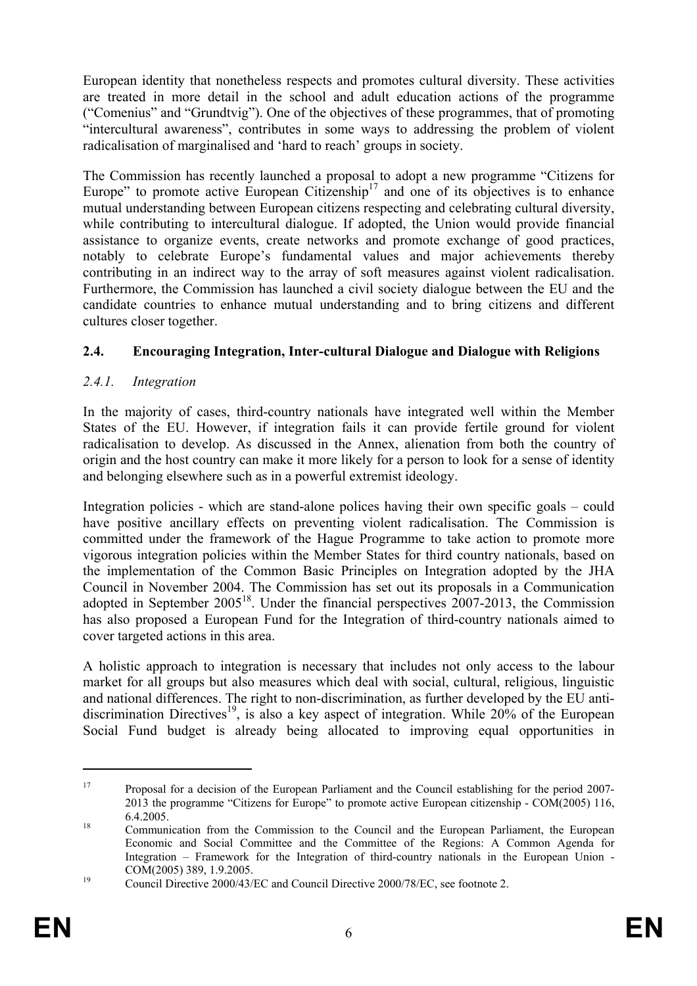European identity that nonetheless respects and promotes cultural diversity. These activities are treated in more detail in the school and adult education actions of the programme ("Comenius" and "Grundtvig"). One of the objectives of these programmes, that of promoting "intercultural awareness", contributes in some ways to addressing the problem of violent radicalisation of marginalised and 'hard to reach' groups in society.

The Commission has recently launched a proposal to adopt a new programme "Citizens for Europe" to promote active European Citizenship<sup>17</sup> and one of its objectives is to enhance mutual understanding between European citizens respecting and celebrating cultural diversity, while contributing to intercultural dialogue. If adopted, the Union would provide financial assistance to organize events, create networks and promote exchange of good practices, notably to celebrate Europe's fundamental values and major achievements thereby contributing in an indirect way to the array of soft measures against violent radicalisation. Furthermore, the Commission has launched a civil society dialogue between the EU and the candidate countries to enhance mutual understanding and to bring citizens and different cultures closer together.

# **2.4. Encouraging Integration, Inter-cultural Dialogue and Dialogue with Religions**

# *2.4.1. Integration*

In the majority of cases, third-country nationals have integrated well within the Member States of the EU. However, if integration fails it can provide fertile ground for violent radicalisation to develop. As discussed in the Annex, alienation from both the country of origin and the host country can make it more likely for a person to look for a sense of identity and belonging elsewhere such as in a powerful extremist ideology.

Integration policies - which are stand-alone polices having their own specific goals – could have positive ancillary effects on preventing violent radicalisation. The Commission is committed under the framework of the Hague Programme to take action to promote more vigorous integration policies within the Member States for third country nationals, based on the implementation of the Common Basic Principles on Integration adopted by the JHA Council in November 2004. The Commission has set out its proposals in a Communication adopted in September 2005<sup>18</sup>. Under the financial perspectives 2007-2013, the Commission has also proposed a European Fund for the Integration of third-country nationals aimed to cover targeted actions in this area.

A holistic approach to integration is necessary that includes not only access to the labour market for all groups but also measures which deal with social, cultural, religious, linguistic and national differences. The right to non-discrimination, as further developed by the EU antidiscrimination Directives<sup>19</sup>, is also a key aspect of integration. While  $20\%$  of the European Social Fund budget is already being allocated to improving equal opportunities in

<sup>&</sup>lt;sup>17</sup> Proposal for a decision of the European Parliament and the Council establishing for the period 2007-2013 the programme "Citizens for Europe" to promote active European citizenship - COM(2005) 116, 6.4.2005. 18 Communication from the Commission to the Council and the European Parliament, the European

Economic and Social Committee and the Committee of the Regions: A Common Agenda for Integration – Framework for the Integration of third-country nationals in the European Union - COM(2005) 389, 1.9.2005.<br><sup>19</sup> Council Directive 2000/43/EC and Council Directive 2000/78/EC, see footnote 2.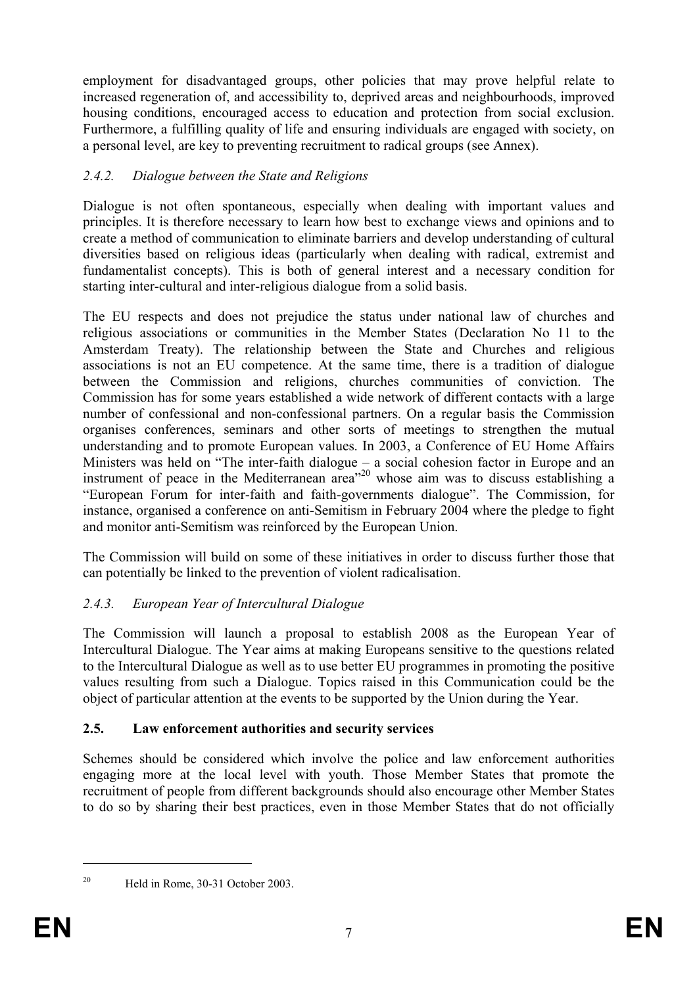employment for disadvantaged groups, other policies that may prove helpful relate to increased regeneration of, and accessibility to, deprived areas and neighbourhoods, improved housing conditions, encouraged access to education and protection from social exclusion. Furthermore, a fulfilling quality of life and ensuring individuals are engaged with society, on a personal level, are key to preventing recruitment to radical groups (see Annex).

# *2.4.2. Dialogue between the State and Religions*

Dialogue is not often spontaneous, especially when dealing with important values and principles. It is therefore necessary to learn how best to exchange views and opinions and to create a method of communication to eliminate barriers and develop understanding of cultural diversities based on religious ideas (particularly when dealing with radical, extremist and fundamentalist concepts). This is both of general interest and a necessary condition for starting inter-cultural and inter-religious dialogue from a solid basis.

The EU respects and does not prejudice the status under national law of churches and religious associations or communities in the Member States (Declaration No 11 to the Amsterdam Treaty). The relationship between the State and Churches and religious associations is not an EU competence. At the same time, there is a tradition of dialogue between the Commission and religions, churches communities of conviction. The Commission has for some years established a wide network of different contacts with a large number of confessional and non-confessional partners. On a regular basis the Commission organises conferences, seminars and other sorts of meetings to strengthen the mutual understanding and to promote European values. In 2003, a Conference of EU Home Affairs Ministers was held on "The inter-faith dialogue – a social cohesion factor in Europe and an instrument of peace in the Mediterranean area<sup>"20</sup> whose aim was to discuss establishing a "European Forum for inter-faith and faith-governments dialogue". The Commission, for instance, organised a conference on anti-Semitism in February 2004 where the pledge to fight and monitor anti-Semitism was reinforced by the European Union.

The Commission will build on some of these initiatives in order to discuss further those that can potentially be linked to the prevention of violent radicalisation.

# *2.4.3. European Year of Intercultural Dialogue*

The Commission will launch a proposal to establish 2008 as the European Year of Intercultural Dialogue. The Year aims at making Europeans sensitive to the questions related to the Intercultural Dialogue as well as to use better EU programmes in promoting the positive values resulting from such a Dialogue. Topics raised in this Communication could be the object of particular attention at the events to be supported by the Union during the Year.

#### **2.5. Law enforcement authorities and security services**

Schemes should be considered which involve the police and law enforcement authorities engaging more at the local level with youth. Those Member States that promote the recruitment of people from different backgrounds should also encourage other Member States to do so by sharing their best practices, even in those Member States that do not officially

<sup>&</sup>lt;sup>20</sup> Held in Rome, 30-31 October 2003.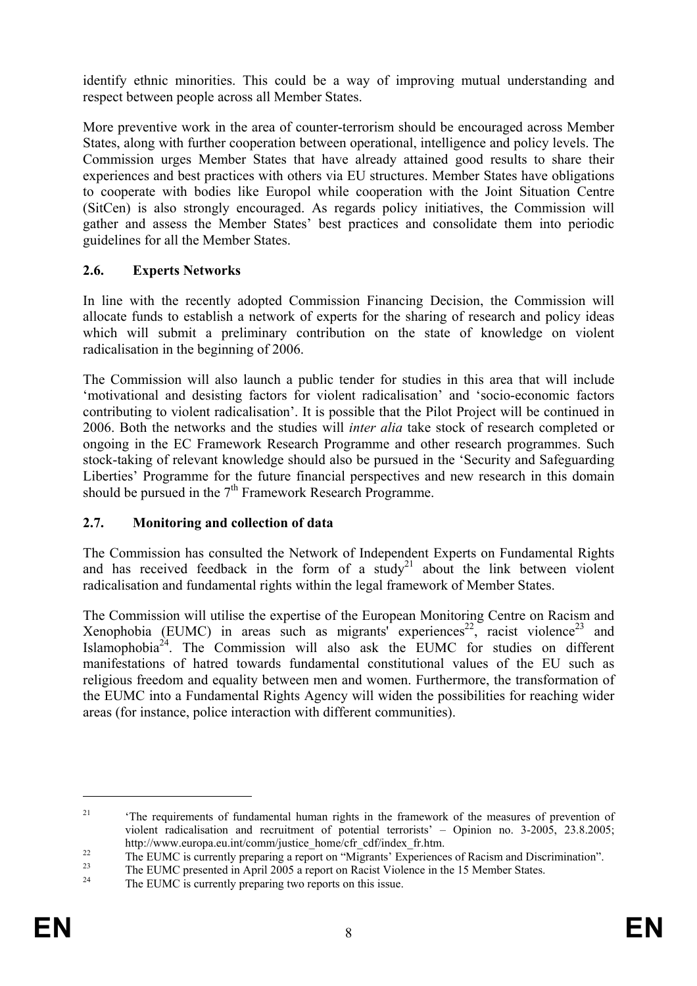identify ethnic minorities. This could be a way of improving mutual understanding and respect between people across all Member States.

More preventive work in the area of counter-terrorism should be encouraged across Member States, along with further cooperation between operational, intelligence and policy levels. The Commission urges Member States that have already attained good results to share their experiences and best practices with others via EU structures. Member States have obligations to cooperate with bodies like Europol while cooperation with the Joint Situation Centre (SitCen) is also strongly encouraged. As regards policy initiatives, the Commission will gather and assess the Member States' best practices and consolidate them into periodic guidelines for all the Member States.

# **2.6. Experts Networks**

In line with the recently adopted Commission Financing Decision, the Commission will allocate funds to establish a network of experts for the sharing of research and policy ideas which will submit a preliminary contribution on the state of knowledge on violent radicalisation in the beginning of 2006.

The Commission will also launch a public tender for studies in this area that will include 'motivational and desisting factors for violent radicalisation' and 'socio-economic factors contributing to violent radicalisation'. It is possible that the Pilot Project will be continued in 2006. Both the networks and the studies will *inter alia* take stock of research completed or ongoing in the EC Framework Research Programme and other research programmes. Such stock-taking of relevant knowledge should also be pursued in the 'Security and Safeguarding Liberties' Programme for the future financial perspectives and new research in this domain should be pursued in the  $7<sup>th</sup>$  Framework Research Programme.

#### **2.7. Monitoring and collection of data**

The Commission has consulted the Network of Independent Experts on Fundamental Rights and has received feedback in the form of a study<sup>21</sup> about the link between violent radicalisation and fundamental rights within the legal framework of Member States.

The Commission will utilise the expertise of the European Monitoring Centre on Racism and Xenophobia (EUMC) in areas such as migrants' experiences<sup>22</sup>, racist violence<sup>23</sup> and Islamophobia $^{24}$ . The Commission will also ask the EUMC for studies on different manifestations of hatred towards fundamental constitutional values of the EU such as religious freedom and equality between men and women. Furthermore, the transformation of the EUMC into a Fundamental Rights Agency will widen the possibilities for reaching wider areas (for instance, police interaction with different communities).

<u>.</u>

<sup>&</sup>lt;sup>21</sup> <sup>21</sup> <sup>21</sup> <sup>21</sup> The requirements of fundamental human rights in the framework of the measures of prevention of violent radicalisation and recruitment of potential terrorists' – Opinion no. 3-2005, 23.8.2005;<br>http://www.europa.eu.int/comm/justice home/cfr cdf/index fr.htm.

<sup>&</sup>lt;sup>22</sup><br>
<sup>22</sup><br>
<sup>23</sup> The EUMC is currently preparing a report on "Migrants' Experiences of Racism and Discrimination".<br>
<sup>23</sup><br>
<sup>24</sup> The EUMC is currently preparing two reports on this issue.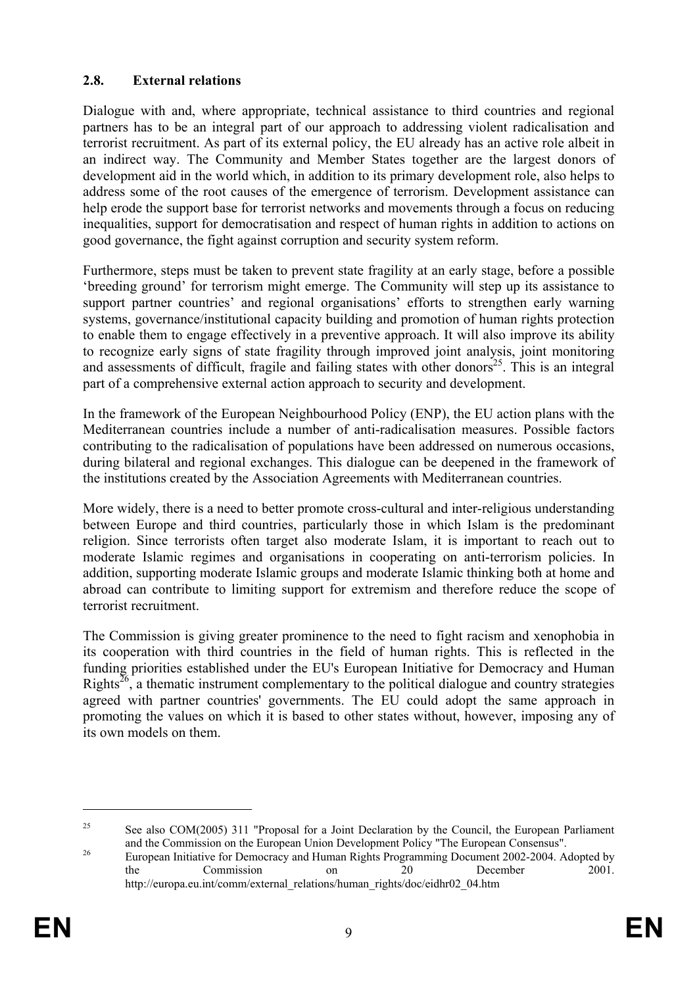### **2.8. External relations**

Dialogue with and, where appropriate, technical assistance to third countries and regional partners has to be an integral part of our approach to addressing violent radicalisation and terrorist recruitment. As part of its external policy, the EU already has an active role albeit in an indirect way. The Community and Member States together are the largest donors of development aid in the world which, in addition to its primary development role, also helps to address some of the root causes of the emergence of terrorism. Development assistance can help erode the support base for terrorist networks and movements through a focus on reducing inequalities, support for democratisation and respect of human rights in addition to actions on good governance, the fight against corruption and security system reform.

Furthermore, steps must be taken to prevent state fragility at an early stage, before a possible 'breeding ground' for terrorism might emerge. The Community will step up its assistance to support partner countries' and regional organisations' efforts to strengthen early warning systems, governance/institutional capacity building and promotion of human rights protection to enable them to engage effectively in a preventive approach. It will also improve its ability to recognize early signs of state fragility through improved joint analysis, joint monitoring and assessments of difficult, fragile and failing states with other donors<sup>25</sup>. This is an integral part of a comprehensive external action approach to security and development.

In the framework of the European Neighbourhood Policy (ENP), the EU action plans with the Mediterranean countries include a number of anti-radicalisation measures. Possible factors contributing to the radicalisation of populations have been addressed on numerous occasions, during bilateral and regional exchanges. This dialogue can be deepened in the framework of the institutions created by the Association Agreements with Mediterranean countries.

More widely, there is a need to better promote cross-cultural and inter-religious understanding between Europe and third countries, particularly those in which Islam is the predominant religion. Since terrorists often target also moderate Islam, it is important to reach out to moderate Islamic regimes and organisations in cooperating on anti-terrorism policies. In addition, supporting moderate Islamic groups and moderate Islamic thinking both at home and abroad can contribute to limiting support for extremism and therefore reduce the scope of terrorist recruitment.

The Commission is giving greater prominence to the need to fight racism and xenophobia in its cooperation with third countries in the field of human rights. This is reflected in the funding priorities established under the EU's European Initiative for Democracy and Human Rights<sup>26</sup>, a thematic instrument complementary to the political dialogue and country strategies agreed with partner countries' governments. The EU could adopt the same approach in promoting the values on which it is based to other states without, however, imposing any of its own models on them.

<sup>&</sup>lt;sup>25</sup> See also COM(2005) 311 "Proposal for a Joint Declaration by the Council, the European Parliament and the Commission on the European Union Development Policy "The European Consensus".

<sup>&</sup>lt;sup>26</sup> European Initiative for Democracy and Human Rights Programming Document 2002-2004. Adopted by the Commission on 20 December 2001. http://europa.eu.int/comm/external\_relations/human\_rights/doc/eidhr02\_04.htm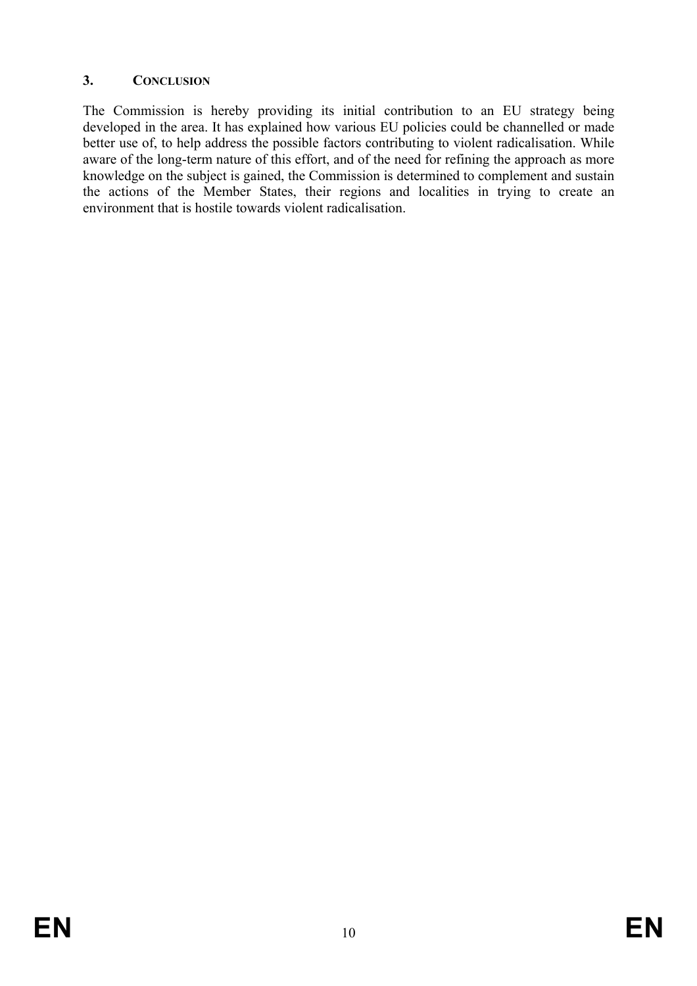# **3. CONCLUSION**

The Commission is hereby providing its initial contribution to an EU strategy being developed in the area. It has explained how various EU policies could be channelled or made better use of, to help address the possible factors contributing to violent radicalisation. While aware of the long-term nature of this effort, and of the need for refining the approach as more knowledge on the subject is gained, the Commission is determined to complement and sustain the actions of the Member States, their regions and localities in trying to create an environment that is hostile towards violent radicalisation.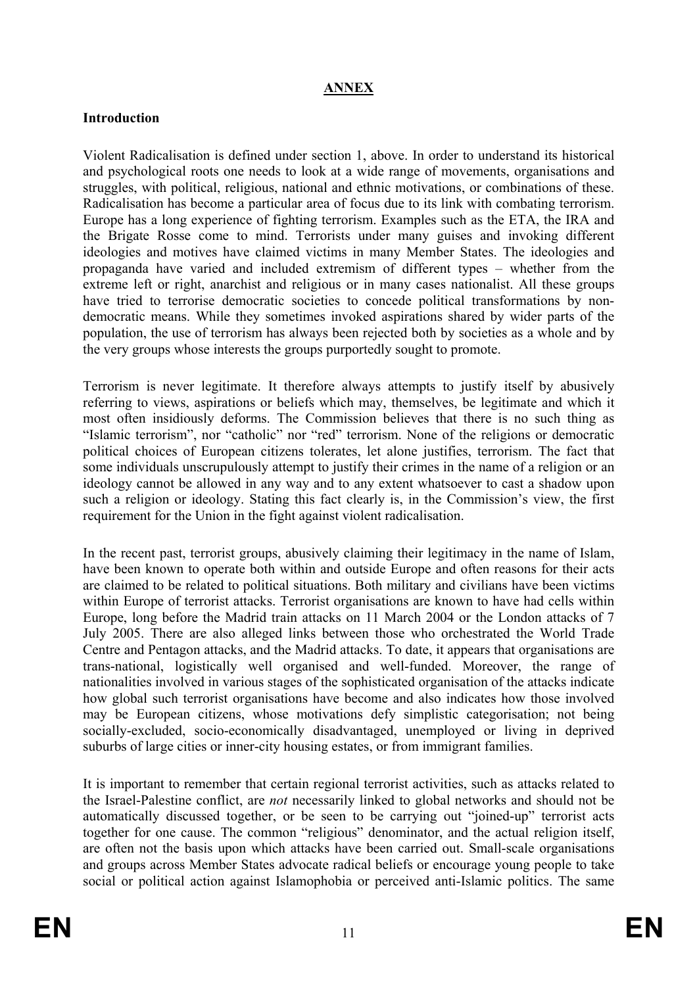# **ANNEX**

#### **Introduction**

Violent Radicalisation is defined under section 1, above. In order to understand its historical and psychological roots one needs to look at a wide range of movements, organisations and struggles, with political, religious, national and ethnic motivations, or combinations of these. Radicalisation has become a particular area of focus due to its link with combating terrorism. Europe has a long experience of fighting terrorism. Examples such as the ETA, the IRA and the Brigate Rosse come to mind. Terrorists under many guises and invoking different ideologies and motives have claimed victims in many Member States. The ideologies and propaganda have varied and included extremism of different types – whether from the extreme left or right, anarchist and religious or in many cases nationalist. All these groups have tried to terrorise democratic societies to concede political transformations by nondemocratic means. While they sometimes invoked aspirations shared by wider parts of the population, the use of terrorism has always been rejected both by societies as a whole and by the very groups whose interests the groups purportedly sought to promote.

Terrorism is never legitimate. It therefore always attempts to justify itself by abusively referring to views, aspirations or beliefs which may, themselves, be legitimate and which it most often insidiously deforms. The Commission believes that there is no such thing as "Islamic terrorism", nor "catholic" nor "red" terrorism. None of the religions or democratic political choices of European citizens tolerates, let alone justifies, terrorism. The fact that some individuals unscrupulously attempt to justify their crimes in the name of a religion or an ideology cannot be allowed in any way and to any extent whatsoever to cast a shadow upon such a religion or ideology. Stating this fact clearly is, in the Commission's view, the first requirement for the Union in the fight against violent radicalisation.

In the recent past, terrorist groups, abusively claiming their legitimacy in the name of Islam, have been known to operate both within and outside Europe and often reasons for their acts are claimed to be related to political situations. Both military and civilians have been victims within Europe of terrorist attacks. Terrorist organisations are known to have had cells within Europe, long before the Madrid train attacks on 11 March 2004 or the London attacks of 7 July 2005. There are also alleged links between those who orchestrated the World Trade Centre and Pentagon attacks, and the Madrid attacks. To date, it appears that organisations are trans-national, logistically well organised and well-funded. Moreover, the range of nationalities involved in various stages of the sophisticated organisation of the attacks indicate how global such terrorist organisations have become and also indicates how those involved may be European citizens, whose motivations defy simplistic categorisation; not being socially-excluded, socio-economically disadvantaged, unemployed or living in deprived suburbs of large cities or inner-city housing estates, or from immigrant families.

It is important to remember that certain regional terrorist activities, such as attacks related to the Israel-Palestine conflict, are *not* necessarily linked to global networks and should not be automatically discussed together, or be seen to be carrying out "joined-up" terrorist acts together for one cause. The common "religious" denominator, and the actual religion itself, are often not the basis upon which attacks have been carried out. Small-scale organisations and groups across Member States advocate radical beliefs or encourage young people to take social or political action against Islamophobia or perceived anti-Islamic politics. The same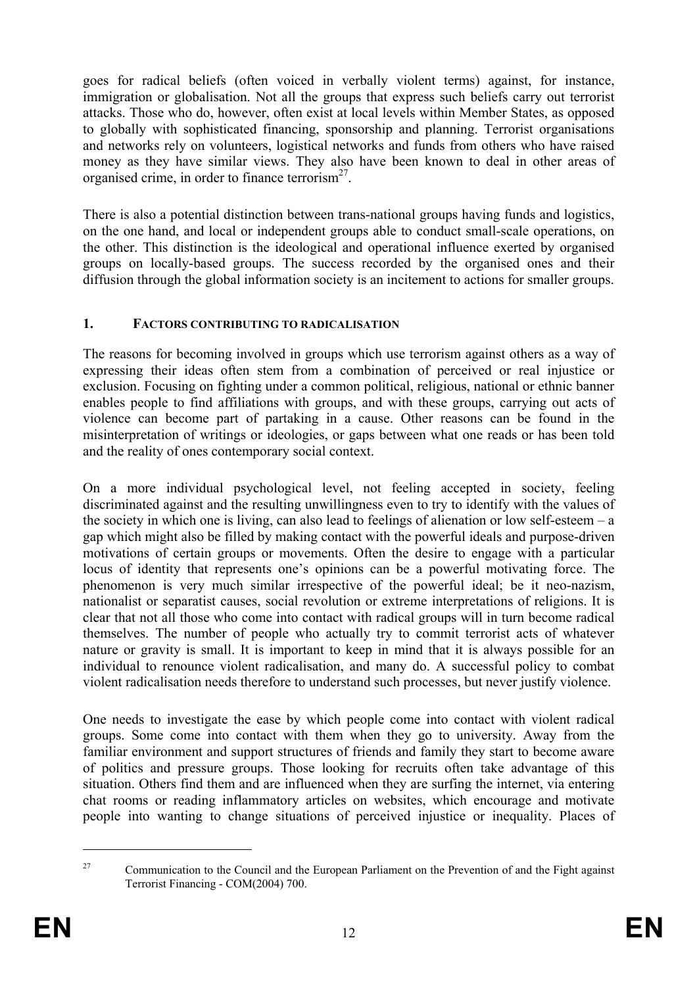goes for radical beliefs (often voiced in verbally violent terms) against, for instance, immigration or globalisation. Not all the groups that express such beliefs carry out terrorist attacks. Those who do, however, often exist at local levels within Member States, as opposed to globally with sophisticated financing, sponsorship and planning. Terrorist organisations and networks rely on volunteers, logistical networks and funds from others who have raised money as they have similar views. They also have been known to deal in other areas of organised crime, in order to finance terrorism $^{27}$ .

There is also a potential distinction between trans-national groups having funds and logistics, on the one hand, and local or independent groups able to conduct small-scale operations, on the other. This distinction is the ideological and operational influence exerted by organised groups on locally-based groups. The success recorded by the organised ones and their diffusion through the global information society is an incitement to actions for smaller groups.

#### **1. FACTORS CONTRIBUTING TO RADICALISATION**

The reasons for becoming involved in groups which use terrorism against others as a way of expressing their ideas often stem from a combination of perceived or real injustice or exclusion. Focusing on fighting under a common political, religious, national or ethnic banner enables people to find affiliations with groups, and with these groups, carrying out acts of violence can become part of partaking in a cause. Other reasons can be found in the misinterpretation of writings or ideologies, or gaps between what one reads or has been told and the reality of ones contemporary social context.

On a more individual psychological level, not feeling accepted in society, feeling discriminated against and the resulting unwillingness even to try to identify with the values of the society in which one is living, can also lead to feelings of alienation or low self-esteem  $-a$ gap which might also be filled by making contact with the powerful ideals and purpose-driven motivations of certain groups or movements. Often the desire to engage with a particular locus of identity that represents one's opinions can be a powerful motivating force. The phenomenon is very much similar irrespective of the powerful ideal; be it neo-nazism, nationalist or separatist causes, social revolution or extreme interpretations of religions. It is clear that not all those who come into contact with radical groups will in turn become radical themselves. The number of people who actually try to commit terrorist acts of whatever nature or gravity is small. It is important to keep in mind that it is always possible for an individual to renounce violent radicalisation, and many do. A successful policy to combat violent radicalisation needs therefore to understand such processes, but never justify violence.

One needs to investigate the ease by which people come into contact with violent radical groups. Some come into contact with them when they go to university. Away from the familiar environment and support structures of friends and family they start to become aware of politics and pressure groups. Those looking for recruits often take advantage of this situation. Others find them and are influenced when they are surfing the internet, via entering chat rooms or reading inflammatory articles on websites, which encourage and motivate people into wanting to change situations of perceived injustice or inequality. Places of

<sup>&</sup>lt;sup>27</sup> Communication to the Council and the European Parliament on the Prevention of and the Fight against Terrorist Financing - COM(2004) 700.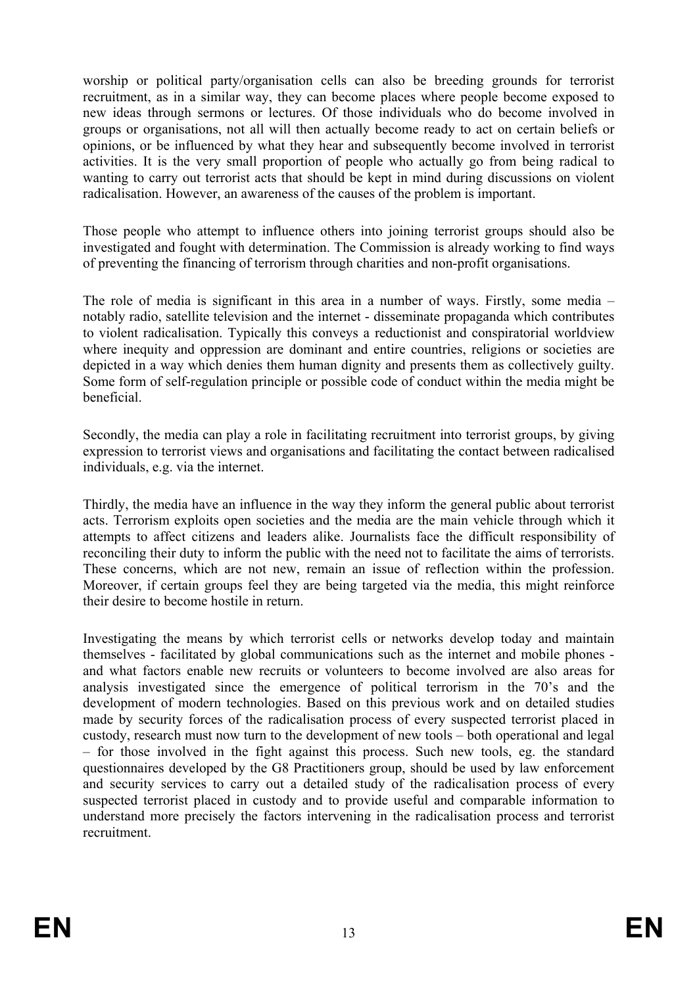worship or political party/organisation cells can also be breeding grounds for terrorist recruitment, as in a similar way, they can become places where people become exposed to new ideas through sermons or lectures. Of those individuals who do become involved in groups or organisations, not all will then actually become ready to act on certain beliefs or opinions, or be influenced by what they hear and subsequently become involved in terrorist activities. It is the very small proportion of people who actually go from being radical to wanting to carry out terrorist acts that should be kept in mind during discussions on violent radicalisation. However, an awareness of the causes of the problem is important.

Those people who attempt to influence others into joining terrorist groups should also be investigated and fought with determination. The Commission is already working to find ways of preventing the financing of terrorism through charities and non-profit organisations.

The role of media is significant in this area in a number of ways. Firstly, some media – notably radio, satellite television and the internet - disseminate propaganda which contributes to violent radicalisation. Typically this conveys a reductionist and conspiratorial worldview where inequity and oppression are dominant and entire countries, religions or societies are depicted in a way which denies them human dignity and presents them as collectively guilty. Some form of self-regulation principle or possible code of conduct within the media might be beneficial.

Secondly, the media can play a role in facilitating recruitment into terrorist groups, by giving expression to terrorist views and organisations and facilitating the contact between radicalised individuals, e.g. via the internet.

Thirdly, the media have an influence in the way they inform the general public about terrorist acts. Terrorism exploits open societies and the media are the main vehicle through which it attempts to affect citizens and leaders alike. Journalists face the difficult responsibility of reconciling their duty to inform the public with the need not to facilitate the aims of terrorists. These concerns, which are not new, remain an issue of reflection within the profession. Moreover, if certain groups feel they are being targeted via the media, this might reinforce their desire to become hostile in return.

Investigating the means by which terrorist cells or networks develop today and maintain themselves - facilitated by global communications such as the internet and mobile phones and what factors enable new recruits or volunteers to become involved are also areas for analysis investigated since the emergence of political terrorism in the 70's and the development of modern technologies. Based on this previous work and on detailed studies made by security forces of the radicalisation process of every suspected terrorist placed in custody, research must now turn to the development of new tools – both operational and legal – for those involved in the fight against this process. Such new tools, eg. the standard questionnaires developed by the G8 Practitioners group, should be used by law enforcement and security services to carry out a detailed study of the radicalisation process of every suspected terrorist placed in custody and to provide useful and comparable information to understand more precisely the factors intervening in the radicalisation process and terrorist recruitment.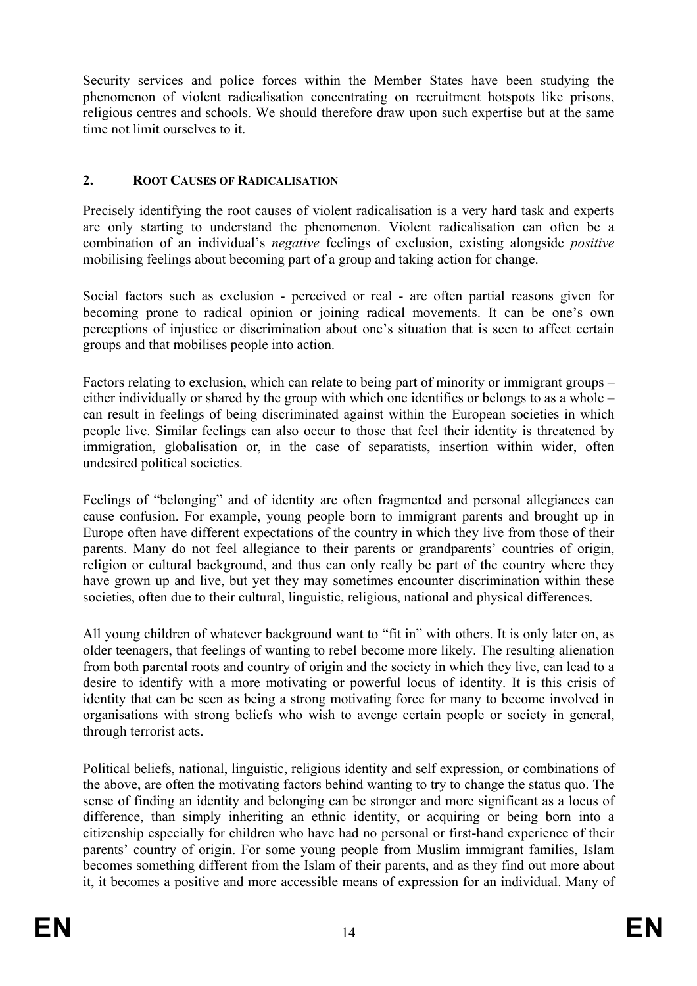Security services and police forces within the Member States have been studying the phenomenon of violent radicalisation concentrating on recruitment hotspots like prisons, religious centres and schools. We should therefore draw upon such expertise but at the same time not limit ourselves to it.

### **2. ROOT CAUSES OF RADICALISATION**

Precisely identifying the root causes of violent radicalisation is a very hard task and experts are only starting to understand the phenomenon. Violent radicalisation can often be a combination of an individual's *negative* feelings of exclusion, existing alongside *positive* mobilising feelings about becoming part of a group and taking action for change.

Social factors such as exclusion - perceived or real - are often partial reasons given for becoming prone to radical opinion or joining radical movements. It can be one's own perceptions of injustice or discrimination about one's situation that is seen to affect certain groups and that mobilises people into action.

Factors relating to exclusion, which can relate to being part of minority or immigrant groups – either individually or shared by the group with which one identifies or belongs to as a whole – can result in feelings of being discriminated against within the European societies in which people live. Similar feelings can also occur to those that feel their identity is threatened by immigration, globalisation or, in the case of separatists, insertion within wider, often undesired political societies.

Feelings of "belonging" and of identity are often fragmented and personal allegiances can cause confusion. For example, young people born to immigrant parents and brought up in Europe often have different expectations of the country in which they live from those of their parents. Many do not feel allegiance to their parents or grandparents' countries of origin, religion or cultural background, and thus can only really be part of the country where they have grown up and live, but yet they may sometimes encounter discrimination within these societies, often due to their cultural, linguistic, religious, national and physical differences.

All young children of whatever background want to "fit in" with others. It is only later on, as older teenagers, that feelings of wanting to rebel become more likely. The resulting alienation from both parental roots and country of origin and the society in which they live, can lead to a desire to identify with a more motivating or powerful locus of identity. It is this crisis of identity that can be seen as being a strong motivating force for many to become involved in organisations with strong beliefs who wish to avenge certain people or society in general, through terrorist acts.

Political beliefs, national, linguistic, religious identity and self expression, or combinations of the above, are often the motivating factors behind wanting to try to change the status quo. The sense of finding an identity and belonging can be stronger and more significant as a locus of difference, than simply inheriting an ethnic identity, or acquiring or being born into a citizenship especially for children who have had no personal or first-hand experience of their parents' country of origin. For some young people from Muslim immigrant families, Islam becomes something different from the Islam of their parents, and as they find out more about it, it becomes a positive and more accessible means of expression for an individual. Many of